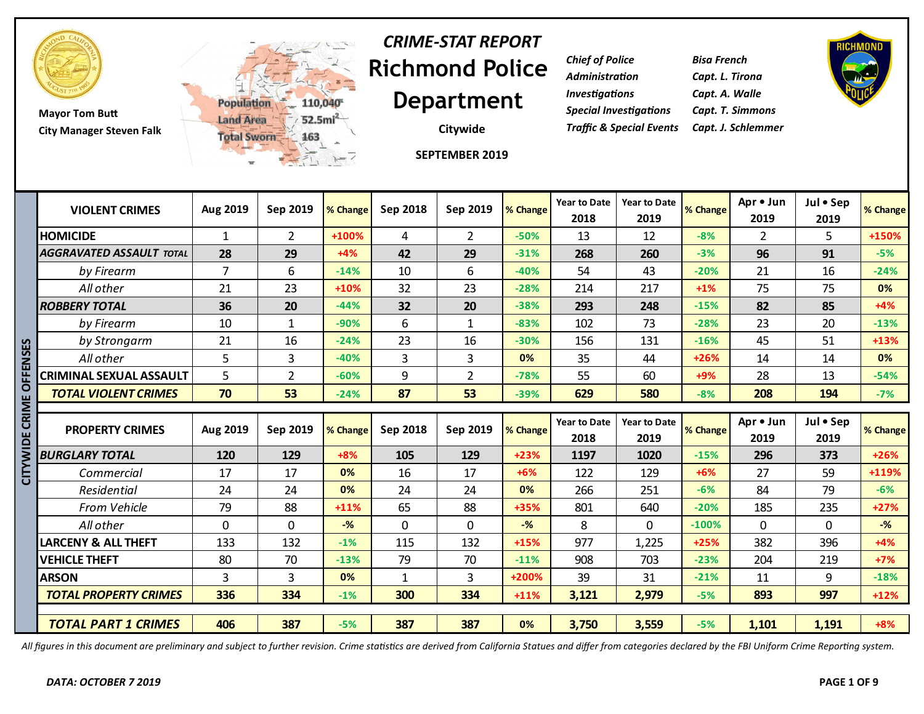

**Mayor Tom Butt City Manager Steven Falk**



# **Richmond Police Department** *CRIME-STAT REPORT*

**Citywide**

**SEPTEMBER 2019**

*Chief of Police Bisa French Administration Capt. L. Tirona Investigations Capt. A. Walle Special Investigations Capt. T. Simmons Traffic & Special Events Capt. J. Schlemmer*



| <b>VIOLENT CRIMES</b>           | Aug 2019       | Sep 2019       | % Change | Sep 2018     | Sep 2019       | % Change       | <b>Year to Date</b><br>2018 | <b>Year to Date</b><br>2019 | % Change | Apr . Jun<br>2019 | Jul • Sep<br>2019 | % Change       |
|---------------------------------|----------------|----------------|----------|--------------|----------------|----------------|-----------------------------|-----------------------------|----------|-------------------|-------------------|----------------|
| <b>HOMICIDE</b>                 | $\mathbf{1}$   | $\overline{2}$ | +100%    | 4            | $\overline{2}$ | $-50%$         | 13                          | 12                          | $-8%$    | $\overline{2}$    | 5                 | +150%          |
| <b>AGGRAVATED ASSAULT TOTAL</b> | 28             | 29             | $+4%$    | 42           | 29             | $-31%$         | 268                         | 260                         | $-3%$    | 96                | 91                | $-5%$          |
| by Firearm                      | $\overline{7}$ | 6              | $-14%$   | 10           | 6              | $-40%$         | 54                          | 43                          | $-20%$   | 21                | 16                | $-24%$         |
| All other                       | 21             | 23             | $+10%$   | 32           | 23             | $-28%$         | 214                         | 217                         | $+1%$    | 75                | 75                | 0%             |
| <b>ROBBERY TOTAL</b>            | 36             | 20             | $-44%$   | 32           | 20             | $-38%$         | 293                         | 248                         | $-15%$   | 82                | 85                | $+4%$          |
| by Firearm                      | 10             | $\mathbf{1}$   | $-90%$   | 6            | $\mathbf{1}$   | $-83%$         | 102                         | 73                          | $-28%$   | 23                | 20                | $-13%$         |
| by Strongarm                    | 21             | 16             | $-24%$   | 23           | 16             | $-30%$         | 156                         | 131                         | $-16%$   | 45                | 51                | $+13%$         |
| All other                       | 5              | 3              | $-40%$   | 3            | 3              | 0%             | 35                          | 44                          | $+26%$   | 14                | 14                | 0%             |
| <b>CRIMINAL SEXUAL ASSAULT</b>  | 5              | $\overline{2}$ | $-60%$   | 9            | $\overline{2}$ | $-78%$         | 55                          | 60                          | $+9%$    | 28                | 13                | $-54%$         |
| <b>TOTAL VIOLENT CRIMES</b>     | 70             | 53             | $-24%$   | 87           | 53             | $-39%$         | 629                         | 580                         | $-8%$    | 208               | 194               | $-7%$          |
|                                 |                |                |          |              |                |                |                             |                             |          |                   |                   |                |
| <b>PROPERTY CRIMES</b>          | Aug 2019       | Sep 2019       | % Change | Sep 2018     | Sep 2019       | % Change       | <b>Year to Date</b><br>2018 | <b>Year to Date</b><br>2019 | % Change | Apr • Jun<br>2019 | Jul • Sep<br>2019 | % Change       |
| <b>BURGLARY TOTAL</b>           | 120            | 129            | $+8%$    | 105          | 129            | $+23%$         | 1197                        | 1020                        | $-15%$   | 296               | 373               | $+26%$         |
| Commercial                      | 17             | 17             | 0%       | 16           | 17             | $+6%$          | 122                         | 129                         | $+6%$    | 27                | 59                | +119%          |
| Residential                     | 24             | 24             | 0%       | 24           | 24             | 0%             | 266                         | 251                         | $-6%$    | 84                | 79                | $-6%$          |
| <b>From Vehicle</b>             | 79             | 88             | $+11%$   | 65           | 88             | +35%           | 801                         | 640                         | $-20%$   | 185               | 235               | $+27%$         |
| All other                       | $\mathbf 0$    | $\mathbf 0$    | $-$ %    | $\mathbf 0$  | $\mathbf{0}$   | $-\frac{9}{6}$ | 8                           | $\Omega$                    | $-100%$  | $\Omega$          | 0                 | $-\frac{9}{6}$ |
| <b>LARCENY &amp; ALL THEFT</b>  | 133            | 132            | $-1%$    | 115          | 132            | $+15%$         | 977                         | 1,225                       | $+25%$   | 382               | 396               | $+4%$          |
| <b>VEHICLE THEFT</b>            | 80             | 70             | $-13%$   | 79           | 70             | $-11%$         | 908                         | 703                         | $-23%$   | 204               | 219               | $+7%$          |
| <b>ARSON</b>                    | 3              | 3              | 0%       | $\mathbf{1}$ | 3              | +200%          | 39                          | 31                          | $-21%$   | 11                | 9                 | $-18%$         |
| <b>TOTAL PROPERTY CRIMES</b>    | 336            | 334            | $-1%$    | 300          | 334            | $+11%$         | 3,121                       | 2,979                       | $-5%$    | 893               | 997               | $+12%$         |
|                                 |                | 387            | $-5%$    | 387          | 387            | 0%             | 3,750                       | 3,559                       | $-5%$    | 1,101             | 1,191             | $+8%$          |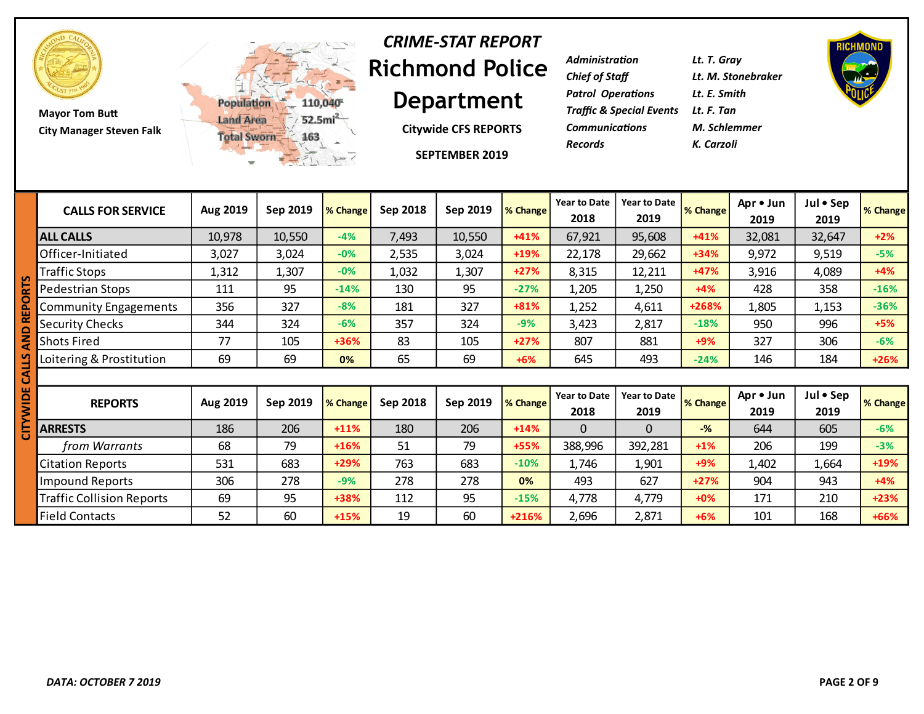

**Mayor Tom Butt City Manager Steven Falk**



#### **Richmond Police Department** *CRIME-STAT REPORT*

**Citywide CFS REPORTS**

**SEPTEMBER 2019**

| Administration                           | Lt. T. Gray        |
|------------------------------------------|--------------------|
| Chief of Staff                           | Lt. M. Stonebraker |
| Patrol Operations                        | Lt. E. Smith       |
| Traffic & Special Events      Lt. F. Tan |                    |
| <b>Communications</b>                    | M. Schlemmer       |
| Records                                  | K. Carzoli         |



| <b>CALLS FOR SERVICE</b>         | Aug 2019 | Sep 2019 | % Change | Sep 2018 | Sep 2019 | % Change | <b>Year to Date</b><br>2018 | <b>Year to Date</b><br>2019 | % Change | Apr • Jun<br>2019 | Jul • Sep<br>2019 | % Change |
|----------------------------------|----------|----------|----------|----------|----------|----------|-----------------------------|-----------------------------|----------|-------------------|-------------------|----------|
| <b>ALL CALLS</b>                 | 10,978   | 10,550   | $-4%$    | 7,493    | 10,550   | $+41%$   | 67,921                      | 95,608                      | $+41%$   | 32,081            | 32,647            | $+2%$    |
| Officer-Initiated                | 3,027    | 3,024    | $-0%$    | 2,535    | 3,024    | $+19%$   | 22,178                      | 29,662                      | $+34%$   | 9,972             | 9,519             | $-5%$    |
| <b>Traffic Stops</b>             | 1,312    | 1,307    | $-0%$    | 1,032    | 1,307    | $+27%$   | 8,315                       | 12,211                      | $+47%$   | 3,916             | 4,089             | $+4%$    |
| Pedestrian Stops                 | 111      | 95       | $-14%$   | 130      | 95       | $-27%$   | 1,205                       | 1,250                       | $+4%$    | 428               | 358               | $-16%$   |
| <b>Community Engagements</b>     | 356      | 327      | $-8%$    | 181      | 327      | $+81%$   | 1,252                       | 4,611                       | +268%    | 1,805             | 1,153             | $-36%$   |
| <b>Security Checks</b>           | 344      | 324      | $-6%$    | 357      | 324      | $-9%$    | 3,423                       | 2,817                       | $-18%$   | 950               | 996               | $+5%$    |
| Shots Fired                      | 77       | 105      | +36%     | 83       | 105      | $+27%$   | 807                         | 881                         | $+9%$    | 327               | 306               | $-6%$    |
| Loitering & Prostitution         | 69       | 69       | 0%       | 65       | 69       | $+6%$    | 645                         | 493                         | $-24%$   | 146               | 184               | $+26%$   |
|                                  |          |          |          |          |          |          |                             |                             |          |                   |                   |          |
| <b>REPORTS</b>                   | Aug 2019 | Sep 2019 | % Change | Sep 2018 | Sep 2019 | % Change | <b>Year to Date</b><br>2018 | <b>Year to Date</b><br>2019 | % Change | Apr • Jun<br>2019 | Jul • Sep<br>2019 | % Change |
| <b>ARRESTS</b>                   | 186      | 206      | $+11%$   | 180      | 206      | $+14%$   | $\Omega$                    | $\Omega$                    | $-%$     | 644               | 605               | $-6%$    |
| from Warrants                    | 68       | 79       | $+16%$   | 51       | 79       | $+55%$   | 388,996                     | 392,281                     | $+1%$    | 206               | 199               | $-3%$    |
| <b>Citation Reports</b>          | 531      | 683      | $+29%$   | 763      | 683      | $-10%$   | 1,746                       | 1,901                       | $+9%$    | 1,402             | 1,664             | $+19%$   |
| Impound Reports                  | 306      | 278      | $-9%$    | 278      | 278      | 0%       | 493                         | 627                         | $+27%$   | 904               | 943               | $+4%$    |
| <b>Traffic Collision Reports</b> | 69       | 95       | +38%     | 112      | 95       | $-15%$   | 4,778                       | 4,779                       | $+0%$    | 171               | 210               | $+23%$   |
| <b>Field Contacts</b>            | 52       | 60       | $+15%$   | 19       | 60       | $+216%$  | 2,696                       | 2,871                       | $+6%$    | 101               | 168               | +66%     |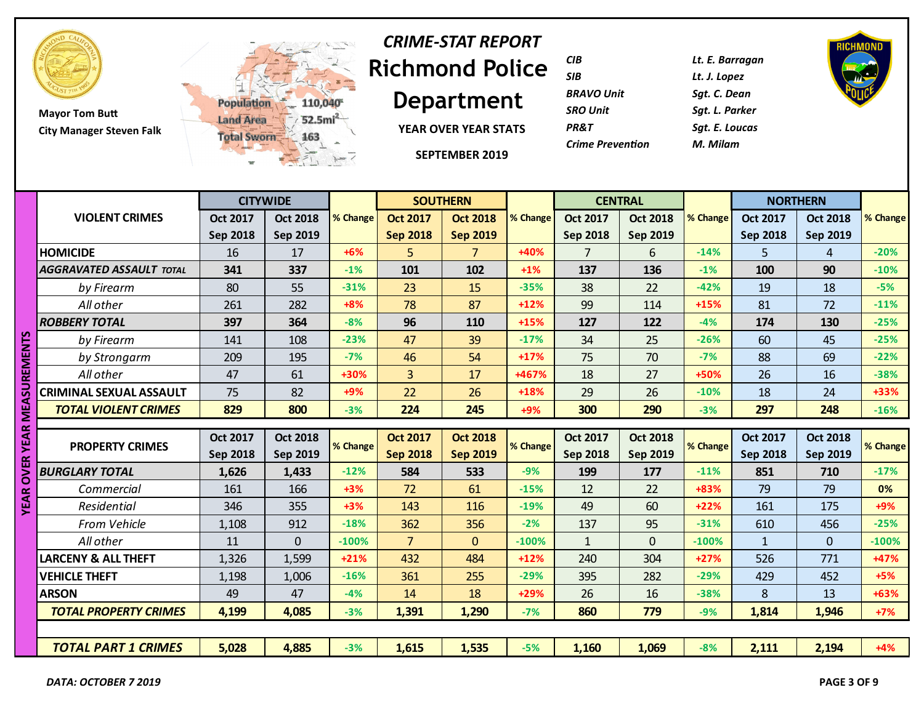

**Mayor Tom Butt City Manager Steven Falk**



# **Richmond Police**  *CRIME-STAT REPORT*

**Department**

**YEAR OVER YEAR STATS**

**SEPTEMBER 2019**

| CIB                     | Lt. E. Barragan |
|-------------------------|-----------------|
| SIB                     | Lt. J. Lopez    |
| <b>BRAVO Unit</b>       | Sat. C. Dean    |
| <b>SRO Unit</b>         | Sat. L. Parker  |
| <b>PR&amp;T</b>         | Sat. E. Loucas  |
| <b>Crime Prevention</b> | M. Milam        |
|                         |                 |

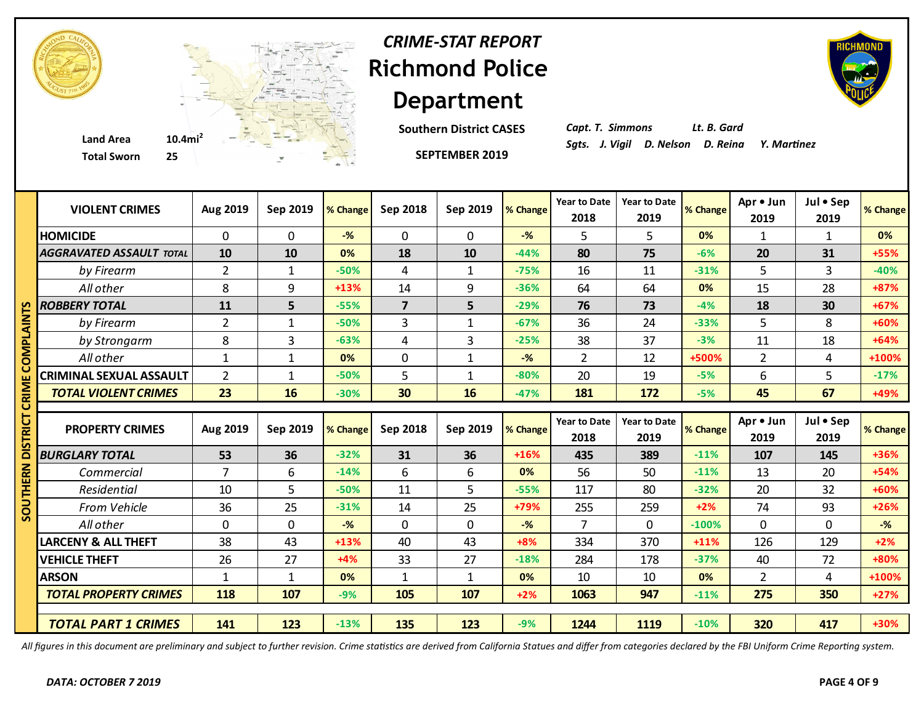

**Southern District CASES**

*Capt. T. Simmons Lt. B. Gard*

|             | <b>Total Sworn</b><br>25        |                | $\mathcal{C}$ |                |                         | <b>SEPTEMBER 2019</b> |                |                             |                             |          |                   |                   |          |
|-------------|---------------------------------|----------------|---------------|----------------|-------------------------|-----------------------|----------------|-----------------------------|-----------------------------|----------|-------------------|-------------------|----------|
|             | <b>VIOLENT CRIMES</b>           | Aug 2019       | Sep 2019      | % Change       | Sep 2018                | Sep 2019              | % Change       | <b>Year to Date</b><br>2018 | <b>Year to Date</b><br>2019 | % Change | Apr • Jun<br>2019 | Jul . Sep<br>2019 | % Change |
|             | <b>HOMICIDE</b>                 | 0              | $\Omega$      | $-\frac{9}{6}$ | 0                       | $\mathbf{0}$          | $-$ %          | 5                           | 5                           | 0%       | 1                 | $\mathbf{1}$      | 0%       |
|             | <b>AGGRAVATED ASSAULT TOTAL</b> | 10             | 10            | 0%             | 18                      | 10                    | $-44%$         | 80                          | 75                          | $-6%$    | 20                | 31                | +55%     |
|             | by Firearm                      | $\overline{2}$ | $\mathbf{1}$  | $-50%$         | 4                       | $\mathbf{1}$          | $-75%$         | 16                          | 11                          | $-31%$   | 5                 | 3                 | $-40%$   |
|             | All other                       | 8              | 9             | $+13%$         | 14                      | 9                     | $-36%$         | 64                          | 64                          | 0%       | 15                | 28                | +87%     |
|             | <b>ROBBERY TOTAL</b>            | 11             | 5             | $-55%$         | $\overline{\mathbf{z}}$ | 5                     | $-29%$         | 76                          | 73                          | $-4%$    | 18                | 30                | $+67%$   |
| <u>אואי</u> | by Firearm                      | $\overline{2}$ | $\mathbf{1}$  | $-50%$         | 3                       | $\mathbf{1}$          | $-67%$         | 36                          | 24                          | $-33%$   | 5                 | 8                 | +60%     |
|             | by Strongarm                    | 8              | 3             | $-63%$         | 4                       | 3                     | $-25%$         | 38                          | 37                          | $-3%$    | 11                | 18                | $+64%$   |
|             | All other                       | $\mathbf{1}$   | $\mathbf{1}$  | 0%             | $\mathbf 0$             | $\mathbf{1}$          | $-$ %          | $\overline{2}$              | 12                          | +500%    | $\overline{2}$    | 4                 | +100%    |
|             | <b>CRIMINAL SEXUAL ASSAULT</b>  | $\overline{2}$ | $\mathbf{1}$  | $-50%$         | 5                       | $\mathbf{1}$          | $-80%$         | 20                          | 19                          | $-5%$    | 6                 | 5                 | $-17%$   |
|             | <b>TOTAL VIOLENT CRIMES</b>     | 23             | 16            | $-30%$         | 30                      | 16                    | $-47%$         | 181                         | 172                         | $-5%$    | 45                | 67                | +49%     |
|             |                                 |                |               |                |                         |                       |                |                             |                             |          |                   |                   |          |
|             | <b>PROPERTY CRIMES</b>          | Aug 2019       | Sep 2019      | % Change       | Sep 2018                | Sep 2019              | % Change       | <b>Year to Date</b><br>2018 | <b>Year to Date</b><br>2019 | % Change | Apr . Jun<br>2019 | Jul . Sep<br>2019 | % Change |
| ē           | <b>BURGLARY TOTAL</b>           | 53             | 36            | $-32%$         | 31                      | 36                    | $+16%$         | 435                         | 389                         | $-11%$   | 107               | 145               | +36%     |
|             | Commercial                      | $\overline{7}$ | 6             | $-14%$         | 6                       | 6                     | 0%             | 56                          | 50                          | $-11%$   | 13                | 20                | $+54%$   |
|             | Residential                     | 10             | 5             | $-50%$         | 11                      | 5                     | $-55%$         | 117                         | 80                          | $-32%$   | 20                | 32                | +60%     |
|             | From Vehicle                    | 36             | 25            | $-31%$         | 14                      | 25                    | +79%           | 255                         | 259                         | $+2%$    | 74                | 93                | $+26%$   |
| 3           | All other                       | $\mathbf 0$    | $\mathbf 0$   | $-$ %          | $\mathbf 0$             | $\mathbf{0}$          | $-\frac{9}{6}$ | $\overline{7}$              | 0                           | $-100%$  | $\mathbf{0}$      | $\mathbf 0$       | $-%$     |
|             | <b>LARCENY &amp; ALL THEFT</b>  | 38             | 43            | $+13%$         | 40                      | 43                    | $+8%$          | 334                         | 370                         | $+11%$   | 126               | 129               | $+2%$    |
|             | <b>VEHICLE THEFT</b>            | 26             | 27            | $+4%$          | 33                      | 27                    | $-18%$         | 284                         | 178                         | $-37%$   | 40                | 72                | +80%     |
|             | <b>ARSON</b>                    | $\mathbf{1}$   | $\mathbf{1}$  | 0%             | 1                       | $\mathbf{1}$          | 0%             | 10                          | 10                          | 0%       | $\overline{2}$    | 4                 | +100%    |
|             | <b>TOTAL PROPERTY CRIMES</b>    | 118            | 107           | $-9%$          | 105                     | 107                   | $+2%$          | 1063                        | 947                         | $-11%$   | 275               | 350               | $+27%$   |

*All figures in this document are preliminary and subject to further revision. Crime statistics are derived from California Statues and differ from categories declared by the FBI Uniform Crime Reporting system.*

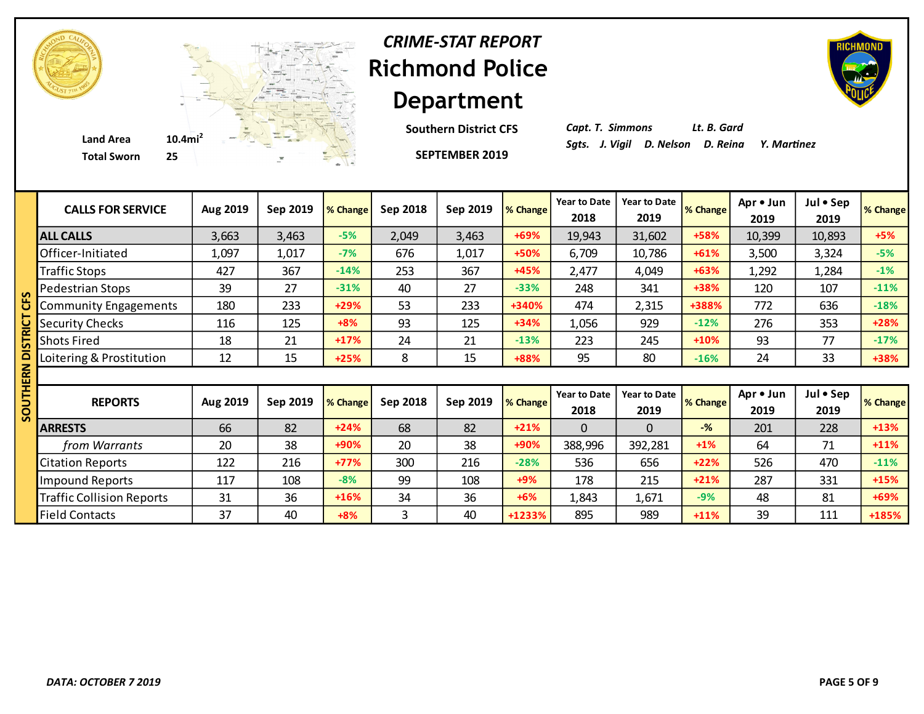

**Southern District CFS**

**SEPTEMBER 2019**



*Capt. T. Simmons Lt. B. Gard*

| <b>CALLS FOR SERVICE</b>         | Aug 2019 | Sep 2019 | % Change | Sep 2018 | Sep 2019 | % Change | <b>Year to Date</b><br>2018 | <b>Year to Date</b><br>2019 | <b>% Change</b> | Apr • Jun<br>2019 | Jul • Sep<br>2019 | % Change |
|----------------------------------|----------|----------|----------|----------|----------|----------|-----------------------------|-----------------------------|-----------------|-------------------|-------------------|----------|
| <b>ALL CALLS</b>                 | 3,663    | 3,463    | $-5%$    | 2,049    | 3,463    | +69%     | 19,943                      | 31,602                      | +58%            | 10,399            | 10,893            | $+5%$    |
| Officer-Initiated                | 1,097    | 1,017    | $-7%$    | 676      | 1,017    | $+50%$   | 6,709                       | 10,786                      | $+61%$          | 3,500             | 3,324             | $-5%$    |
| <b>Traffic Stops</b>             | 427      | 367      | $-14%$   | 253      | 367      | $+45%$   | 2,477                       | 4,049                       | +63%            | 1,292             | 1,284             | $-1%$    |
| Pedestrian Stops                 | 39       | 27       | $-31%$   | 40       | 27       | $-33%$   | 248                         | 341                         | +38%            | 120               | 107               | $-11%$   |
| <b>Community Engagements</b>     | 180      | 233      | +29%     | 53       | 233      | +340%    | 474                         | 2,315                       | +388%           | 772               | 636               | $-18%$   |
| <b>Security Checks</b>           | 116      | 125      | $+8%$    | 93       | 125      | $+34%$   | 1,056                       | 929                         | $-12%$          | 276               | 353               | +28%     |
| <b>Shots Fired</b>               | 18       | 21       | $+17%$   | 24       | 21       | $-13%$   | 223                         | 245                         | $+10%$          | 93                | 77                | $-17%$   |
| Loitering & Prostitution         | 12       | 15       | $+25%$   | 8        | 15       | +88%     | 95                          | 80                          | $-16%$          | 24                | 33                | +38%     |
|                                  |          |          |          |          |          |          |                             |                             |                 |                   |                   |          |
|                                  |          |          |          |          |          |          |                             |                             |                 |                   |                   |          |
| <b>REPORTS</b>                   | Aug 2019 | Sep 2019 | % Change | Sep 2018 | Sep 2019 | % Change | <b>Year to Date</b><br>2018 | <b>Year to Date</b><br>2019 | % Change        | Apr • Jun<br>2019 | Jul . Sep<br>2019 | % Change |
| <b>ARRESTS</b>                   | 66       | 82       | $+24%$   | 68       | 82       | $+21%$   | $\Omega$                    | $\Omega$                    | $-$ %           | 201               | 228               | $+13%$   |
| from Warrants                    | 20       | 38       | +90%     | 20       | 38       | $+90%$   | 388,996                     | 392,281                     | $+1\%$          | 64                | 71                | $+11%$   |
| <b>Citation Reports</b>          | 122      | 216      | $+77%$   | 300      | 216      | $-28%$   | 536                         | 656                         | $+22%$          | 526               | 470               | $-11%$   |
| <b>Impound Reports</b>           | 117      | 108      | $-8%$    | 99       | 108      | $+9%$    | 178                         | 215                         | $+21%$          | 287               | 331               | $+15%$   |
| <b>Traffic Collision Reports</b> | 31       | 36       | $+16%$   | 34       | 36       | $+6%$    | 1,843                       | 1,671                       | $-9%$           | 48                | 81                | +69%     |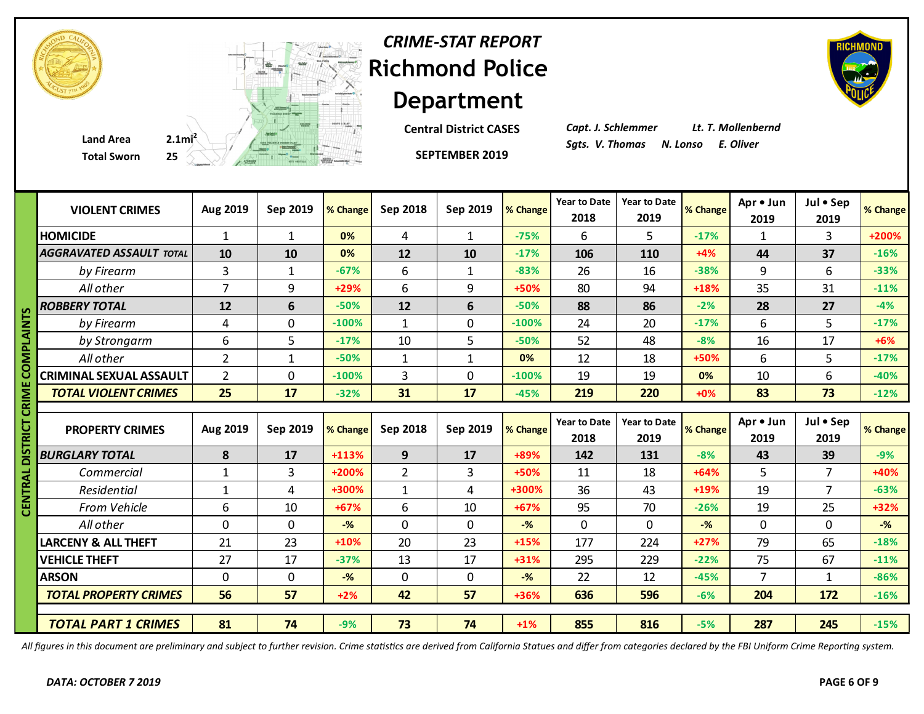

**Central District CASES**

*Capt. J. Schlemmer Lt. T. Mollenbernd*

|        | <b>Total Sworn</b>              | $25 \leftarrow$ |              |          |                | <b>SEPTEMBER 2019</b> |          |                             |                             |          |                   |                   |                    |
|--------|---------------------------------|-----------------|--------------|----------|----------------|-----------------------|----------|-----------------------------|-----------------------------|----------|-------------------|-------------------|--------------------|
|        | <b>VIOLENT CRIMES</b>           | Aug 2019        | Sep 2019     | % Change | Sep 2018       | Sep 2019              | % Change | <b>Year to Date</b><br>2018 | <b>Year to Date</b><br>2019 | % Change | Apr . Jun<br>2019 | Jul . Sep<br>2019 | % Change           |
|        | <b>HOMICIDE</b>                 | $\mathbf{1}$    | 1            | 0%       | 4              | $\mathbf{1}$          | $-75%$   | 6                           | 5                           | $-17%$   | 1                 | 3                 | +200%              |
|        | <b>AGGRAVATED ASSAULT TOTAL</b> | 10              | 10           | 0%       | 12             | 10                    | $-17%$   | 106                         | 110                         | $+4%$    | 44                | 37                | $-16%$             |
|        | by Firearm                      | $\overline{3}$  | $\mathbf{1}$ | $-67%$   | 6              | $\mathbf{1}$          | $-83%$   | 26                          | 16                          | $-38%$   | 9                 | 6                 | $-33%$             |
|        | All other                       | $\overline{7}$  | 9            | +29%     | 6              | 9                     | +50%     | 80                          | 94                          | +18%     | 35                | 31                | $-11%$             |
| m      | <b>ROBBERY TOTAL</b>            | 12              | 6            | $-50%$   | 12             | 6                     | $-50%$   | 88                          | 86                          | $-2%$    | 28                | 27                | $-4%$              |
| Ξ      | by Firearm                      | 4               | $\mathbf 0$  | $-100%$  | $\mathbf{1}$   | $\mathbf{0}$          | $-100%$  | 24                          | 20                          | $-17%$   | 6                 | 5                 | $-17%$             |
|        | by Strongarm                    | 6               | 5            | $-17%$   | 10             | 5                     | $-50%$   | 52                          | 48                          | $-8%$    | 16                | 17                | $+6%$              |
| ≅      | All other                       | $\overline{2}$  | $\mathbf{1}$ | $-50%$   | $\mathbf{1}$   | $\mathbf{1}$          | 0%       | 12                          | 18                          | +50%     | 6                 | 5                 | $-17%$             |
|        | <b>CRIMINAL SEXUAL ASSAULT</b>  | $\overline{2}$  | $\mathbf 0$  | $-100%$  | $\overline{3}$ | $\mathbf 0$           | $-100%$  | 19                          | 19                          | 0%       | 10                | 6                 | $-40%$             |
|        | <b>TOTAL VIOLENT CRIMES</b>     | 25              | 17           | $-32%$   | 31             | 17                    | $-45%$   | 219                         | 220                         | $+0%$    | 83                | 73                | $-12%$             |
|        |                                 |                 |              |          |                |                       |          |                             |                             |          |                   |                   |                    |
| ō<br>5 | <b>PROPERTY CRIMES</b>          | Aug 2019        | Sep 2019     | % Change | Sep 2018       | Sep 2019              | % Change | <b>Year to Date</b><br>2018 | <b>Year to Date</b><br>2019 | % Change | Apr • Jun<br>2019 | Jul . Sep<br>2019 |                    |
|        | <b>BURGLARY TOTAL</b>           | 8               | 17           | $+113%$  | 9              | 17                    | +89%     | 142                         | 131                         | $-8%$    | 43                | 39                | $-9%$              |
|        | Commercial                      | $\mathbf{1}$    | 3            | +200%    | $\overline{2}$ | 3                     | +50%     | 11                          | 18                          | $+64%$   | 5                 | $\overline{7}$    | +40%               |
|        | Residential                     | $\mathbf{1}$    | 4            | +300%    | $\mathbf{1}$   | 4                     | +300%    | 36                          | 43                          | +19%     | 19                | $\overline{7}$    | $-63%$             |
| 룹      | From Vehicle                    | 6               | 10           | $+67%$   | 6              | 10                    | $+67%$   | 95                          | 70                          | $-26%$   | 19                | 25                | $+32%$             |
|        | All other                       | $\mathbf 0$     | 0            | $-$ %    | $\mathbf 0$    | 0                     | $-$ %    | $\mathbf 0$                 | 0                           | $-$ %    | $\mathbf 0$       | $\mathbf 0$       | $-%$               |
|        | <b>LARCENY &amp; ALL THEFT</b>  | 21              | 23           | $+10%$   | 20             | 23                    | $+15%$   | 177                         | 224                         | $+27%$   | 79                | 65                | $-18%$             |
|        | <b>VEHICLE THEFT</b>            | 27              | 17           | $-37%$   | 13             | 17                    | $+31%$   | 295                         | 229                         | $-22%$   | 75                | 67                | $-11%$             |
|        | <b>ARSON</b>                    | $\mathbf 0$     | $\mathbf 0$  | $-%$     | $\mathbf 0$    | $\mathbf 0$           | $-$ %    | 22                          | 12                          | $-45%$   | $\overline{7}$    | $\mathbf{1}$      | % Change<br>$-86%$ |
|        | <b>TOTAL PROPERTY CRIMES</b>    | 56              | 57           | $+2%$    | 42             | 57                    | +36%     | 636                         | 596                         | $-6%$    | 204               | 172               | $-16%$             |

*All figures in this document are preliminary and subject to further revision. Crime statistics are derived from California Statues and differ from categories declared by the FBI Uniform Crime Reporting system.*

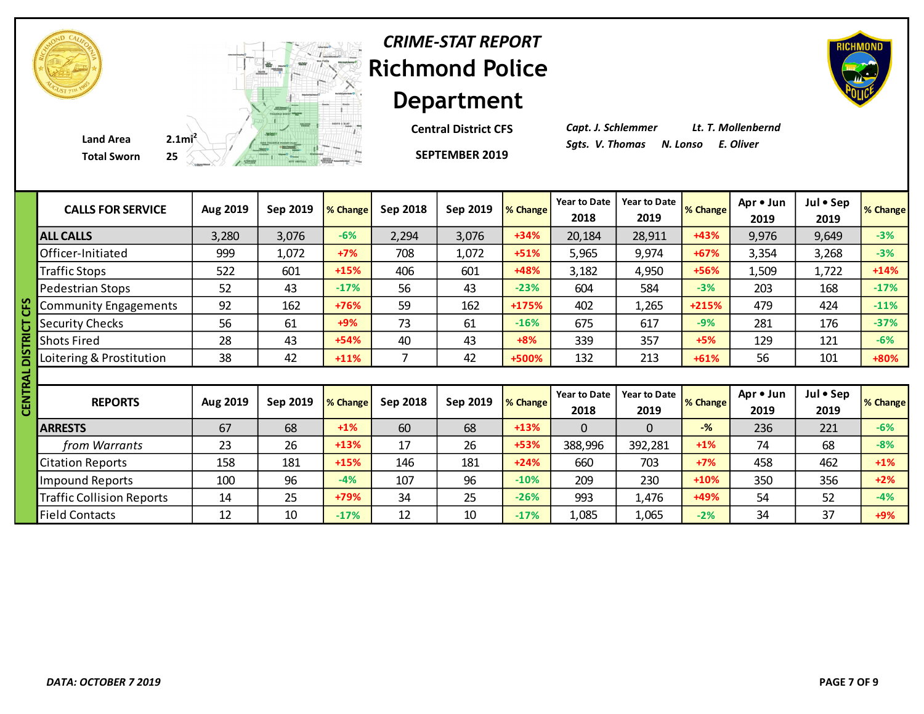

**SEPTEMBER 2019 Central District CFS** *Capt. J. Schlemmer Lt. T. Mollenbernd*

|   | <b>CALLS FOR SERVICE</b>         | Aug 2019 | Sep 2019 | % Change | Sep 2018 | Sep 2019 | % Change | <b>Year to Date</b><br>2018 | <b>Year to Date</b><br>2019 | <b>% Change</b> | Apr • Jun<br>2019 | Jul • Sep<br>2019 | % Change |
|---|----------------------------------|----------|----------|----------|----------|----------|----------|-----------------------------|-----------------------------|-----------------|-------------------|-------------------|----------|
|   | <b>ALL CALLS</b>                 | 3,280    | 3,076    | $-6%$    | 2,294    | 3,076    | $+34%$   | 20,184                      | 28,911                      | $+43%$          | 9,976             | 9,649             | $-3%$    |
|   | Officer-Initiated                | 999      | 1,072    | $+7%$    | 708      | 1,072    | $+51%$   | 5,965                       | 9,974                       | $+67%$          | 3,354             | 3,268             | $-3%$    |
|   | <b>Traffic Stops</b>             | 522      | 601      | $+15%$   | 406      | 601      | +48%     | 3,182                       | 4,950                       | +56%            | 1,509             | 1,722             | $+14%$   |
|   | Pedestrian Stops                 | 52       | 43       | $-17%$   | 56       | 43       | $-23%$   | 604                         | 584                         | $-3%$           | 203               | 168               | $-17%$   |
|   | <b>Community Engagements</b>     | 92       | 162      | +76%     | 59       | 162      | +175%    | 402                         | 1,265                       | $+215%$         | 479               | 424               | $-11%$   |
|   | <b>Security Checks</b>           | 56       | 61       | $+9%$    | 73       | 61       | $-16%$   | 675                         | 617                         | $-9%$           | 281               | 176               | $-37%$   |
|   | <b>Shots Fired</b>               | 28       | 43       | $+54%$   | 40       | 43       | $+8%$    | 339                         | 357                         | $+5%$           | 129               | 121               | $-6%$    |
|   | Loitering & Prostitution         | 38       | 42       | $+11%$   | 7        | 42       | +500%    | 132                         | 213                         | $+61%$          | 56                | 101               | +80%     |
| ∢ |                                  |          |          |          |          |          |          |                             |                             |                 |                   |                   |          |
|   | <b>REPORTS</b>                   | Aug 2019 | Sep 2019 | % Change | Sep 2018 | Sep 2019 | % Change | <b>Year to Date</b><br>2018 | Year to Date<br>2019        | % Change        | Apr . Jun<br>2019 | Jul • Sep<br>2019 | % Change |
|   | <b>ARRESTS</b>                   | 67       | 68       | $+1%$    | 60       | 68       | $+13%$   | $\Omega$                    | $\Omega$                    | $-\frac{9}{6}$  | 236               | 221               | $-6%$    |
|   | from Warrants                    | 23       | 26       | $+13%$   | 17       | 26       | $+53%$   | 388,996                     | 392,281                     | $+1\%$          | 74                | 68                | $-8%$    |
|   | <b>Citation Reports</b>          | 158      | 181      | $+15%$   | 146      | 181      | $+24%$   | 660                         | 703                         | $+7%$           | 458               | 462               | $+1\%$   |
|   | <b>Impound Reports</b>           | 100      | 96       | $-4%$    | 107      | 96       | $-10%$   | 209                         | 230                         | $+10%$          | 350               | 356               | $+2%$    |
|   | <b>Traffic Collision Reports</b> | 14       | 25       | +79%     | 34       | 25       | $-26%$   | 993                         | 1,476                       | +49%            | 54                | 52                | $-4%$    |
|   | <b>Field Contacts</b>            | 12       | 10       | $-17%$   | 12       | 10       | $-17%$   | 1,085                       | 1,065                       | $-2%$           | 34                | 37                | $+9%$    |

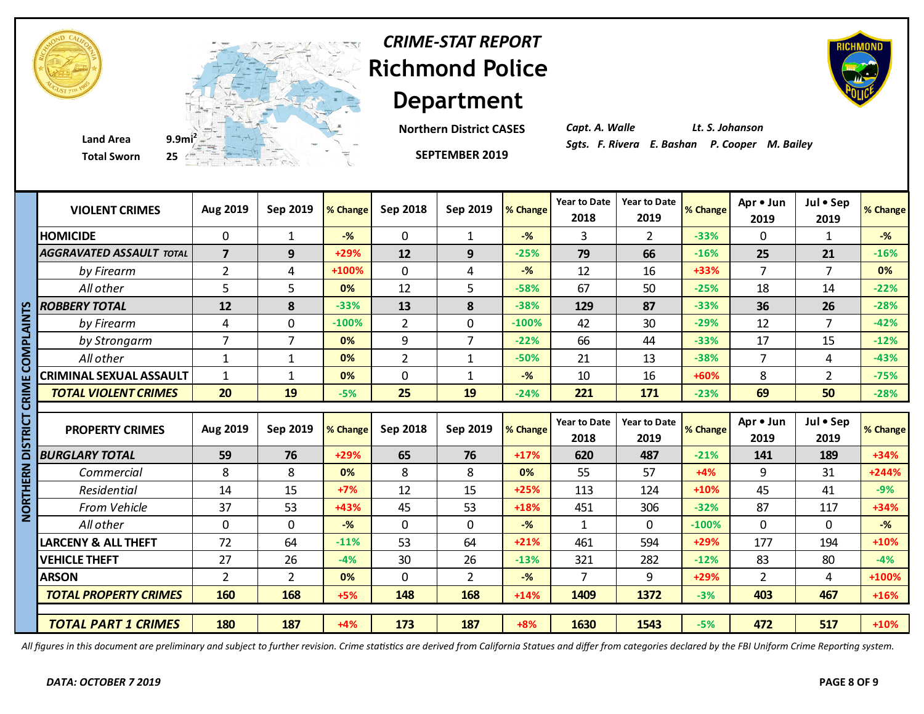



**Total Sworn 25**

**Department Northern District CASES**

*Capt. A. Walle Lt. S. Johanson*

|                 | <b>VIOLENT CRIMES</b>           | Aug 2019       | Sep 2019       | % Change | Sep 2018       | Sep 2019       | % Change       | <b>Year to Date</b><br>2018 | <b>Year to Date</b><br>2019 | % Change | Apr . Jun<br>2019 | Jul • Sep<br>2019 | % Change |
|-----------------|---------------------------------|----------------|----------------|----------|----------------|----------------|----------------|-----------------------------|-----------------------------|----------|-------------------|-------------------|----------|
|                 | <b>HOMICIDE</b>                 | $\mathbf 0$    | $\mathbf{1}$   | $-$ %    | $\mathbf 0$    | $\mathbf{1}$   | $-$ %          | 3                           | $\overline{2}$              | $-33%$   | $\Omega$          | $\mathbf{1}$      | $-$ %    |
|                 | <b>AGGRAVATED ASSAULT TOTAL</b> | $\overline{7}$ | 9              | +29%     | 12             | 9              | $-25%$         | 79                          | 66                          | $-16%$   | 25                | 21                | $-16%$   |
|                 | by Firearm                      | $\overline{2}$ | 4              | +100%    | $\pmb{0}$      | 4              | $-$ %          | 12                          | 16                          | $+33%$   | $\overline{7}$    | $\overline{7}$    | 0%       |
|                 | All other                       | 5              | 5              | 0%       | 12             | 5              | $-58%$         | 67                          | 50                          | $-25%$   | 18                | 14                | $-22%$   |
|                 | <b>ROBBERY TOTAL</b>            | 12             | 8              | $-33%$   | 13             | 8              | $-38%$         | 129                         | 87                          | $-33%$   | 36                | 26                | $-28%$   |
|                 | by Firearm                      | 4              | $\mathbf 0$    | $-100%$  | $\overline{2}$ | $\mathbf 0$    | $-100%$        | 42                          | 30                          | $-29%$   | 12                | 7                 | $-42%$   |
|                 | by Strongarm                    | $\overline{7}$ | $\overline{7}$ | 0%       | 9              | $\overline{7}$ | $-22%$         | 66                          | 44                          | $-33%$   | 17                | 15                | $-12%$   |
| A<br>S<br>O     | All other                       | 1              | $\mathbf{1}$   | 0%       | $\overline{2}$ | $\mathbf{1}$   | $-50%$         | 21                          | 13                          | $-38%$   | $\overline{7}$    | 4                 | $-43%$   |
|                 | <b>CRIMINAL SEXUAL ASSAULT</b>  | $\mathbf{1}$   | $\mathbf{1}$   | 0%       | $\mathbf 0$    | $\mathbf{1}$   | $-\frac{9}{6}$ | 10                          | 16                          | +60%     | 8                 | $\overline{2}$    | $-75%$   |
| CRIM            | <b>TOTAL VIOLENT CRIMES</b>     | 20             | 19             | $-5%$    | 25             | 19             | $-24%$         | 221                         | 171                         | $-23%$   | 69                | 50                | $-28%$   |
|                 |                                 |                |                |          |                |                |                |                             |                             |          |                   |                   |          |
|                 |                                 |                |                |          |                |                |                |                             |                             |          |                   |                   |          |
| ים<br>מ         | <b>PROPERTY CRIMES</b>          | Aug 2019       | Sep 2019       | % Change | Sep 2018       | Sep 2019       | % Change       | <b>Year to Date</b><br>2018 | <b>Year to Date</b><br>2019 | % Change | Apr • Jun<br>2019 | Jul • Sep<br>2019 | % Change |
|                 | <b>BURGLARY TOTAL</b>           | 59             | 76             | +29%     | 65             | 76             | $+17%$         | 620                         | 487                         | $-21%$   | 141               | 189               | +34%     |
|                 | Commercial                      | 8              | 8              | 0%       | 8              | 8              | 0%             | 55                          | 57                          | $+4%$    | 9                 | 31                | +244%    |
| ≧<br>⊞          | Residential                     | 14             | 15             | $+7%$    | 12             | 15             | $+25%$         | 113                         | 124                         | $+10%$   | 45                | 41                | $-9%$    |
|                 | From Vehicle                    | 37             | 53             | +43%     | 45             | 53             | +18%           | 451                         | 306                         | $-32%$   | 87                | 117               | +34%     |
| <b>NOR</b><br>2 | All other                       | $\mathbf 0$    | $\Omega$       | $-$ %    | $\mathbf{0}$   | $\Omega$       | $-$ %          | $\mathbf{1}$                | $\Omega$                    | $-100%$  | $\Omega$          | $\mathbf 0$       | $-$ %    |
|                 | <b>LARCENY &amp; ALL THEFT</b>  | 72             | 64             | $-11%$   | 53             | 64             | $+21%$         | 461                         | 594                         | $+29%$   | 177               | 194               | +10%     |
|                 | <b>VEHICLE THEFT</b>            | 27             | 26             | $-4%$    | 30             | 26             | $-13%$         | 321                         | 282                         | $-12%$   | 83                | 80                | $-4%$    |
|                 | <b>ARSON</b>                    | $\overline{2}$ | $\overline{2}$ | 0%       | 0              | $\overline{2}$ | $-$ %          | $\overline{7}$              | 9                           | $+29%$   | $\overline{2}$    | 4                 | +100%    |
|                 | <b>TOTAL PROPERTY CRIMES</b>    | 160            | 168            | $+5%$    | 148            | 168            | $+14%$         | 1409                        | 1372                        | $-3%$    | 403               | 467               | $+16%$   |
|                 |                                 |                |                |          |                |                |                |                             |                             |          |                   |                   |          |

*All figures in this document are preliminary and subject to further revision. Crime statistics are derived from California Statues and differ from categories declared by the FBI Uniform Crime Reporting system.*



*CRIME-STAT REPORT*

**SEPTEMBER 2019**